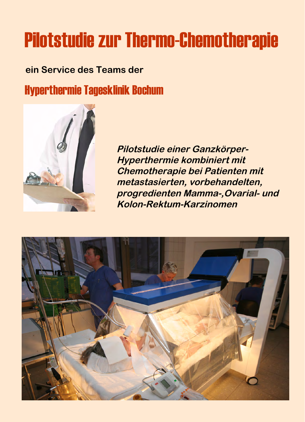# Pilotstudie zur Thermo-Chemotherapie

## **ein Service des Teams der** Hyperthermie Tagesklinik Bochum



**Pilotstudie einer Ganzkörper-Hyperthermie kombiniert mit Chemotherapie bei Patienten mit metastasierten, vorbehandelten, progredienten Mamma-,Ovarial- und Kolon-Rektum-Karzinomen**

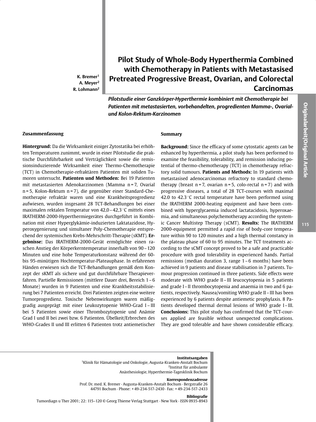K. Bremer<sup>1</sup> A. Mever<sup>2</sup>  $R.$  Lohmann<sup>2</sup>

### Pilot Study of Whole-Body Hyperthermia Combined with Chemotherapy in Patients with Metastasised **Pretreated Progressive Breast, Ovarian, and Colorectal Carcinomas**

Pilotstudie einer Ganzkörper-Hyperthermie kombiniert mit Chemotherapie bei Patienten mit metastasierten, vorbehandelten, progredienten Mamma-, Ovarialund Kolon-Rektum-Karzinomen

#### Zusammenfassung

Hintergrund: Da die Wirksamkeit einiger Zytostatika bei erhöhten Temperaturen zunimmt, wurde in einer Pilotstudie die praktische Durchführbarkeit und Verträglichkeit sowie die remissionsinduzierende Wirksamkeit einer Thermo-Chemotherapie (TCT) in Chemotherapie-refraktären Patienten mit soliden Tumoren untersucht. Patienten und Methoden: Bei 19 Patienten mit metastasierten Adenokarzinomen (Mamma n=7, Ovarial n = 5, Kolon-Rektum n = 7), die gegenüber einer Standard-Chemotherapie refraktär waren und eine Krankheitsprogredienz aufwiesen, wurden insgesamt 28 TCT-Behandlungen bei einer maximalen rektalen Temperatur von 42,0 – 42,3 °C mittels eines IRATHERM-2000-Hyperthermiegerätes durchgeführt in Kombination mit einer Hyperglykämie-induzierten Laktatazidose, Hyperoxygenierung und simultaner Poly-Chemotherapie entsprechend der systemischen Krebs-Mehrschritt-Therapie (sKMT). Ergebnisse: Das IRATHERM-2000-Gerät ermöglichte einen raschen Anstieg der Körperkerntemperatur innerhalb von 90 - 120 Minuten und eine hohe Temperaturkonstanz während der 60bis 95-minütigen Hochtemperatur-Plateauphase. In erfahrenen Händen erwiesen sich die TCT-Behandlungen gemäß dem Konzept der sKMT als sichere und gut durchführbare Therapieverfahren. Partielle Remissionen (mittlere Dauer drei, Bereich 1-6 Monate) wurden in 9 Patienten und eine Krankheitsstabilisierung bei 7 Patienten erreicht. Drei Patienten zeigten eine weitere Tumorprogredienz. Toxische Nebenwirkungen waren mäßiggradig ausgeprägt mit einer Leukozytopenie WHO-Grad I-III bei 5 Patienten sowie einer Thrombozytopenie und Anämie Grad I und II bei zwei bzw. 6 Patienten. Übelkeit/Erbrechen des WHO-Grades II und III erlitten 6 Patienten trotz antiemetischer

#### Summary

Background: Since the efficacy of some cytostatic agents can be enhanced by hyperthermia, a pilot study has been performed to examine the feasibility, tolerability, and remission inducing potential of thermo-chemotherapy (TCT) in chemotherapy refractory solid tumours. Patients and Methods: In 19 patients with metastasised adenocarcinomas refractory to standard chemotherapy (breast  $n = 7$ , ovarian  $n = 5$ , colo-rectal  $n = 7$ ) and with progressive diseases, a total of 28 TCT-courses with maximal 42.0 to 42.3 °C rectal temperature have been performed using the IRATHERM 2000-heating equipment and have been combined with hyperglycaemia induced lactatacidosis, hyperoxaemia, and simultaneous polychemotherapy according the systemic Cancer Multistep Therapy (sCMT). Results: The IRATHERM 2000-equipment permitted a rapid rise of body-core temperature within 90 to 120 minutes and a high thermal constancy in the plateau phase of 60 to 95 minutes. The TCT treatments according to the sCMT concept proved to be a safe and practicable procedure with good tolerability in experienced hands. Partial remissions (median duration 3, range 1–6 months) have been achieved in 9 patients and disease stabilisation in 7 patients. Tumour progression continued in three patients. Side effects were moderate with WHO grade II-III leucocytopenia in 5 patients and grade I-II thrombocytopenia and anaemia in two and 6 patients, respectively. Nausea/vomiting WHO grade II-III has been experienced by 6 patients despite antiemetic prophylaxis. 8 Patients developed thermal dermal lesions of WHO grade I-III. **Conclusions:** This pilot study has confirmed that the TCT-courses applied are feasible without unexpected complications. They are good tolerable and have shown considerable efficacy.

<sup>1</sup>Klinik für Hämatologie und Onkologie, Augusta-Kranken-Anstalt Bochum <sup>2</sup>Institut für ambulante Anästhesiologie, Hyperthermie-Tagesklinik Bochum

#### Korrespondenzadresse

Prof. Dr. med. K. Bremer · Augusta-Kranken-Anstalt Bochum · Bergstraße 26 44791 Bochum · Phone: +49-234-517-2430 · Fax: +49-234-517-2433

#### **Bibliografie**

Tumordiagn u Ther 2001; 22: 115-120 © Georg Thieme Verlag Stuttgart · New York · ISSN 0935-8943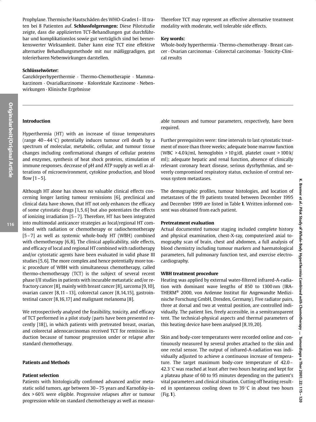Prophylaxe. Thermische Hautschäden des WHO-Grades I-III traten bei 8 Patienten auf. Schlussfolgerungen: Diese Pilotstudie zeigte, dass die applizierten TCT-Behandlungen gut durchführbar und komplikationslos sowie gut verträglich sind bei bemerkenswerter Wirksamkeit. Daher kann eine TCT eine effektive alternative Behandlungsmethode mit nur mäßiggradigen, gut tolerierbaren Nebenwirkungen darstellen.

#### Schlüsselwörter:

Ganzkörperhyperthermie · Thermo-Chemotherapie · Mammakarzinom · Ovarialkarzinome · Kolorektale Karzinome · Nebenwirkungen · Klinische Ergebnisse

#### **Introduction**

Hyperthermia (HT) with an increase of tissue temperatures (range  $40-44$ °C) potentially induces tumour cell death by a spectrum of molecular, metabolic, cellular, and tumour tissue changes including confirmational changes of cellular proteins and enzymes, synthesis of heat shock proteins, stimulation of immune responses, decrease of pH and ATP supply as well as alterations of microenvironment, cytokine production, and blood flow  $[1 - 5]$ .

Although HT alone has shown no valuable clinical effects concerning longer lasting tumour remissions [6], preclinical and clinical data have shown, that HT not only enhances the efficacy of some cytostatic drugs [1,5,6] but also potentiates the effects of ionizing irradiation [5-7]. Therefore, HT has been integrated into multimodal anticancer strategies as local/regional HT combined with radiation or chemotherapy or radiochemotherapy [5-7] as well as systemic whole-body HT (WBH) combined with chemotherapy [6,8]. The clinical applicability, side effects, and efficacy of local and regional HT combined with radiotherapy and/or cytostatic agents have been evaluated in valid phase III studies [5, 6]. The more complex and hence potentially more toxic procedure of WBH with simultaneous chemotherapy, called thermo-chemotherapy (TCT) is the subject of several recent phase I/II studies in patients with incurable metastatic and/or refractory cancer [8], mainly with breast cancer [8], sarcoma [9,10], ovarian cancer [8,11 - 13], colorectal cancer [8,14,15], gastrointestinal cancer [8,16,17] and malignant melanoma [8].

We retrospectively analysed the feasibility, toxicity, and efficacy of TCT performed in a pilot study (parts have been presented recently [18]), in which patients with pretreated breast, ovarian, and colorectal adenocarcinomas received TCT for remission induction because of tumour progression under or relapse after standard chemotherapy.

#### **Patients and Methods**

#### **Patient selection**

Patients with histologically confirmed advanced and/or metastatic solid tumors, age between 30 - 75 years and Karnofsky-index > 60% were eligible. Progressive relapses after or tumour progression while on standard chemotherapy as well as measurTherefore TCT may represent an effective alternative treatment modality with moderate, well tolerable side effects.

#### **Key words:**

Whole-body hyperthermia · Thermo-chemotherapy · Breast cancer · Ovarian carcinomas · Colorectal carcinomas · Toxicity-Clinical results

able tumours and tumour parameters, respectively, have been required.

Further prerequisites were: time intervals to last cytostatic treatment of more than three weeks; adequate bone marrow function (WBC > 4.0 k/ml, hemoglobin > 10 g/dl, platelet count > 100 k/ ml); adequate hepatic and renal function, absence of clinically relevant coronary heart disease, serious dysrhythmias, and severely compromised respiratory status, exclusion of central nervous system metastases.

The demographic profiles, tumour histologies, and location of metastases of the 19 patients treated between December 1995 and December 1999 are listed in Table 1. Written informed consent was obtained from each patient.

#### **Pretreatment evaluation**

Actual documented tumour staging included complete history and physical examination, chest-X-ray, computerized axial tomography scan of brain, chest and abdomen, a full analysis of blood chemistry including tumour markers and haematological parameters, full pulmonary function test, and exercise electrocardiography.

#### **WBH** treatment procedure

Heating was applied by external water-filtered infrared-A-radiation with dominant wave lengths of 850 to 1300 nm (IRA-THERM® 2000, von Ardenne Institut für Angewandte Medizinische Forschung GmbH, Dresden, Germany). Five radiator pairs, three at dorsal and two at ventral position, are controlled individually. The patient lies, freely accessible, in a semitransparent tent. The technical-physical aspects and thermal parameters of this heating device have been analysed [8,19,20].

Skin and body-core temperatures were recorded online and continuously measured by several probes attached to the skin and one rectal sensor. The output of infrared-A-radiation was individually adjusted to achieve a continuous increase of temperature. The target maximum body-core temperature of 42.0-42.3 °C was reached at least after two hours heating and kept for a plateau phase of 60 to 95 minutes depending on the patient's vital parameters and clinical situation. Cutting off heating resulted in spontaneous cooling down to  $39^{\circ}$ C in about two hours  $(Fig. 1)$ .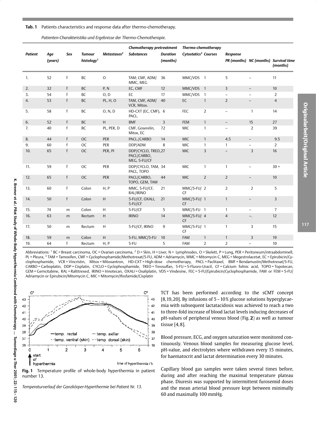Patients characteristics and response data after thermo-chemotherapy. Tab. 1

|  | Patienten-Charakteristika und Ergebnisse der Thermo-Chemotherapie. |
|--|--------------------------------------------------------------------|
|  |                                                                    |

|                |                |              |                                         |                         | Chemotherapy pretreatment                          |                             | Thermo-chemotherapy              |                |                          |                          |                                                   |
|----------------|----------------|--------------|-----------------------------------------|-------------------------|----------------------------------------------------|-----------------------------|----------------------------------|----------------|--------------------------|--------------------------|---------------------------------------------------|
| <b>Patient</b> | Age<br>(years) | <b>Sex</b>   | <b>Tumour</b><br>histology <sup>1</sup> | Metastases <sup>2</sup> | <b>Substances</b>                                  | <b>Duration</b><br>(months) | Cytostatics <sup>3</sup> Courses |                | Response                 |                          | PR (months) NC (months) Survival time<br>(months) |
| 1.             | 52             | $\mathsf{f}$ | BC                                      | $\mathsf O$             | TAM; CMF, ADM/<br>MMC, MEG                         | 36                          | MMC/VDS 1                        |                | 5                        |                          | 11                                                |
| 2.             | 32             | f            | BC                                      | P, N                    | EC, CMF                                            | 12                          | MMC/VDS 1                        |                | 3                        | $\overline{\phantom{a}}$ | 10                                                |
| 3.             | 54             | f            | <b>BC</b>                               | O, D                    | EC                                                 | 17                          | MMC/VDS 1                        |                | $\overline{\phantom{a}}$ | $\overline{\phantom{0}}$ | $\overline{2}$                                    |
| 4.             | 53             | f            | <b>BC</b>                               | <b>PL, H, O</b>         | TAM, CMF, ADM/<br>VCR, Mitox.                      | 40                          | EC                               | $\mathbf{1}$   | $\overline{2}$           |                          | $\overline{4}$                                    |
| 5.             | 58             | f            | BC                                      | O, N, D                 | HD-CXT (EC, CMF), 6<br>PACL.                       |                             | <b>FEC</b>                       | $\overline{2}$ | $\overline{\phantom{a}}$ | $\mathbf{1}$             | 14                                                |
| 6.             | 52             | f            | <b>BC</b>                               | H                       | <b>BMF</b>                                         | $\overline{3}$              | <b>FEM</b>                       | $\mathbf{1}$   | $\overline{\phantom{a}}$ | 15                       | 27                                                |
| 7.             | 40             | f            | BC                                      | PL, PER, D              | CMF, Goserelin,<br>Mitox, EC                       | 72                          | <b>MIC</b>                       | 1              | $\overline{\phantom{a}}$ | $\overline{2}$           | 39                                                |
| 8.             | 44             | f            | <b>OC</b>                               | <b>PER</b>              | PACL./CARBO                                        | 14                          | <b>MIC</b>                       | $\mathbf{1}$   | 4.5                      | $\overline{\phantom{a}}$ | 9.5                                               |
| 9.             | 60             | f            | OC                                      | PER                     | DDP/ADM                                            | 8                           | <b>MIC</b>                       | 1              | $\mathbf{1}$             | $\overline{\phantom{0}}$ | $\overline{2}$                                    |
| 10.            | 65             | f            | <b>OC</b>                               | PER, PI                 | DDP/CYCLO, TREO, 27<br>PACL/CARBO,<br>MEG, 5-FU/CF |                             | <b>MIC</b>                       | 3              | $\overline{\phantom{a}}$ | 3                        | 16                                                |
| 11.            | 59             | f            | <b>OC</b>                               | PER                     | DDP/CYCLO, TAM, 34<br>PACL, TOPO                   |                             | <b>MIC</b>                       | 1              | $\mathbf{1}$             | $\overline{\phantom{a}}$ | $30 +$                                            |
| 12.            | 65             | $\mathsf{f}$ | <b>OC</b>                               | <b>PER</b>              | PACL/CARBO,<br>TOPO, GEM, TAM                      | 44                          | <b>MIC</b>                       | $\overline{2}$ | $\overline{2}$           |                          | 10                                                |
| 13.            | 60             | $\mathsf{f}$ | Colon                                   | H, P                    | MMC, 5-FU/CF,<br>RAL/IRINO                         | 21                          | MMC/5-FU/ 2<br><b>CF</b>         |                | 2                        | $\overline{2}$           | 5                                                 |
| 14.            | 50             | f            | Colon                                   | H                       | 5-FU/CF, OXALI,<br>5-FU/CF                         | 21                          | MMC/5-FU/ 1<br><b>CF</b>         |                | $\mathbf{1}$             | $\overline{\phantom{a}}$ | 3                                                 |
| 15.            | 74             | m            | Colon                                   | H                       | 5-FU/CF                                            | 5                           | MMC/5-FU 1                       |                | $\mathbf{1}$             | $\overline{\phantom{a}}$ | $\overline{7}$                                    |
| 16.            | 63             | m            | Rectum                                  | H                       | <b>IRINO</b>                                       | 14                          | $MMC/5-FU/4$<br><b>CF</b>        |                | 4                        | Ξ.                       | 12                                                |
| 17.            | 50             | m            | Rectum                                  | H                       | 5-FU/CF, IRINO                                     | 9                           | MMC/5-FU/ 1<br><b>CF</b>         |                | $\mathbf{1}$             | 3                        | 15                                                |
| 18.            | 59             | m            | Colon                                   | H                       | 5-FU, MMC/5-FU                                     | 10                          | <b>FAM</b>                       | $\mathbf{1}$   | $\mathbf{1}$             | 3                        | 19                                                |
| 19.            | 64             | $\mathsf{f}$ | Rectum                                  | H, P                    | 5-FU                                               | 5                           | <b>FAM</b>                       | $\overline{2}$ | $\overline{2}$           | $\overline{\phantom{a}}$ | 10                                                |

Abbreviations: <sup>1</sup> BC = Breast carcinoma, OC = Ovarian carcinoma, <sup>2</sup> D = Skin, H = Liver, N = Lymphnodes, O = Skelett, P = Lung, PER = Peritoneum/intraabdominell, PL = Pleura, 3 TAM = Tamoxifen, CMF = Cyclophosphamide/Methotrexat/5-FU, ADM = Adriamycin, MMC = Mitomycin C, MEG = Megestrolacetat, EC = Epirubicin/Cyclophosphamide. VCR = Vincristin. Mitox = Mitoxantron. HD-CXT = High-dose chemotherapy. PACL = Paclitaxel. BMF = Bendamustin/Methotrexat/5-FU. CARBO = Carboplatin, DDP = Cisplatin, CYCLO = Cyclophosphamide, TREO = Treosulfan, 5-FU = 5-Fluoro-Uracil, CF = Calcium folinic acid, TOPO = Topotecan, GEM = Gemcitabine, RAL = Raltitrexed, IRINO = Irinotecan, OXALI = Oxaliplatin, VDS = Vindesine, FEC = 5-FU/Epirubicin/Cyclophosphamide, FAM or FEM = 5-FU/ Adriamycin or Epirubicin/Mitomycin C, MIC = Mitomycin/Ifosfamide/Cisplatin



Fig. 1 Temperature profile of whole-body hyperthermia in patient number 13.

TCT has been performed according to the sCMT concept [8,19,20]. By infusions of 5 - 10% glucose solutions hyperglycaemia with subsequent lactatacidosis was achieved to reach a two to three-fold increase of blood lactat levels inducing decreases of pH-values of peripheral venous blood (Fig. 2) as well as tumour tissue  $[4, 8]$ .

Blood pressure, ECG, and oxygen saturation were monitored continuously. Venous blood samples for measuring glucose level. pH-value, and electrolytes where withdrawn every 15 minutes, for haematocrit and lactat determination every 30 minutes.

Capillary blood gas samples were taken several times before. during and after reaching the maximal temperature plateau phase. Diuresis was supported by intermittent furosemid doses and the mean arterial blood pressure kept between minimally 60 and maximally 100 mmHg.

Originalarbeit/Original Article

Temperaturverlauf der Ganzkörper-Hyperthermie bei Patient Nr. 13.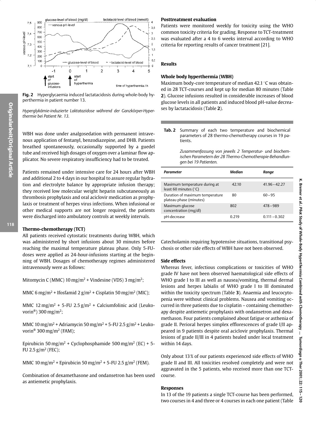

Fig. 2 Hyperglycaemia induced lactatacidosis during whole-body hyperthermia in patient number 13.

Hyperglykämie-induzierte Laktatazidose während der Ganzkörper-Hyperthermie bei Patient Nr. 13.

WBH was done under analgosedation with permanent intravenous application of fentanyl, benzodiazepine, and DHB. Patients breathed spontaneously, occasionally supported by a guedel tube and received high dosages of oxygen over a laminar flow applicator. No severe respiratory insufficiency had to be treated.

Patients remained under intensive care for 24 hours after WBH and additional 2 to 4 days in our hospital to assure regular hydration and electrolyte balance by appropriate infusion therapy; they received low molecular weight heparin subcutaneously as thrombosis prophylaxis and oral aciclovir medication as prophylaxis or treatment of herpes virus infections. When infusional or other medical supports are not longer required, the patients were discharged into ambulatory controls at weekly intervals.

#### Thermo-chemotherapy (TCT)

All patients received cytostatic treatments during WBH, which was administered by short infusions about 30 minutes before reaching the maximal temperature plateau phase. Only 5-FUdoses were applied as 24-hour-infusions starting at the beginning of WBH. Dosages of chemotherapy regimes administered intravenously were as follows:

Mitomycin C (MMC) 10 mg/m<sup>2</sup> + Vindesine (VDS) 3 mg/m<sup>2</sup>;

MMC 6 mg/m<sup>2</sup> + Ifosfamid 2 g/m<sup>2</sup> + Cisplatin 50 mg/m<sup>2</sup> (MIC);

MMC 12 mg/m<sup>2</sup> + 5-FU 2.5 g/m<sup>2</sup> + Calciumfolinic acid (Leukovorin<sup>®</sup>) 300 mg/m<sup>2</sup>;

MMC 10 mg/m<sup>2</sup> + Adriamycin 50 mg/m<sup>2</sup> + 5-FU 2.5 g/m<sup>2</sup> + Leukovorin<sup>®</sup> 300 mg/m<sup>2</sup> (FAM);

Epirubicin 50 mg/m<sup>2</sup> + Cyclophosphamide 500 mg/m<sup>2</sup> (EC) + 5-FU 2.5  $g/m^2$  (FEC);

MMC 10 mg/m<sup>2</sup> + Epirubicin 50 mg/m<sup>2</sup> + 5-FU 2.5 g/m<sup>2</sup> (FEM).

Combination of dexamethasone and ondansetron has been used as antiemetic prophylaxis.

#### **Posttreatment evaluation**

Patients were monitored weekly for toxicity using the WHO common toxicity criteria for grading. Response to TCT-treatment was evaluated after a 4 to 6 weeks interval according to WHO criteria for reporting results of cancer treatment [21].

#### **Results**

#### Whole body hyperthermia (WBH)

Maximum body-core temperature of median 42.1 °C was obtained in 28 TCT-courses and kept up for median 80 minutes (Table 2). Glucose infusions resulted in considerable increases of blood glucose levels in all patients and induced blood pH-value decreases by lactatacidosis (Table 2).

 $Tab.2$ Summary of each two temperature and biochemical parameters of 28 thermo-chemotherapy courses in 19 patients.

> Zusammenfassung von jeweils 2 Temperatur- und biochemischen Parametern der 28 Thermo-Chemotherapie-Behandlunaen bei 19 Patienten.

| Parameter                                                        | Median | Range           |
|------------------------------------------------------------------|--------|-----------------|
| Maximum temperature during at<br>least 60 minutes ( $\degree$ C) | 42.10  | $41.96 - 42.27$ |
| Duration of maximum temperature<br>plateau phase (minutes)       | 80     | $60 - 95$       |
| Maximum glucose<br>concentration (mg/dl)                         | 802    | $478 - 989$     |
| pH-decrease                                                      | 0.219  | $0.111 - 0.302$ |

Catecholamin requiring hypotensive situations, transitional psychosis or other side effects of WBH have not been observed.

#### **Side effects**

Whereas fever, infectious complications or toxicities of WHO grade IV have not been observed haematological side effects of WHO grade I to III as well as nausea/vomiting, thermal dermal lesions and herpes labialis of WHO grade I to III dominated within the toxicity spectrum (Table 3). Anaemia and leucocytopenia were without clinical problems. Nausea and vomiting occurred in three patients due to cisplatin - containing chemotherapy despite antiemetic prophylaxis with ondansetron and dexamethason. Four patients complained about fatigue or asthenia of grade II. Perioral herpes simplex efflorescences of grade I/II appeared in 9 patients despite oral aciclovir prophylaxis. Thermal lesions of grade II/III in 4 patients healed under local treatment within 14 days.

Only about 13% of our patients experienced side effects of WHO grade II and III. All toxicities resolved completely and were not aggravated in the 5 patients, who received more than one TCTcourse.

#### **Responses**

In 13 of the 19 patients a single TCT-course has been performed, two courses in 4 and three or 4 courses in each one patient (Table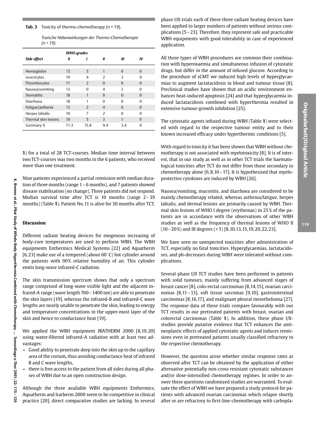| Toxische Nebenwirkungen der Thermo-Chemotherapie |  |
|--------------------------------------------------|--|
| $(n = 19)$ .                                     |  |

|                      | WHO-grades |                |                          |                          |          |  |
|----------------------|------------|----------------|--------------------------|--------------------------|----------|--|
| Side effect          | Ω          |                | Ш                        | Ш                        | ΙV       |  |
| Hemoglobin           | 13         | 5              |                          | $\Omega$                 | $\Omega$ |  |
| Leucocytes           | 10         | 4              | $\overline{\phantom{a}}$ | 3                        | 0        |  |
| Thrombocytes         | 17         | $\overline{2}$ | $\Omega$                 | $\Omega$                 | $\Omega$ |  |
| Nausea/vomiting      | 13         | $\Omega$       | 4                        | $\overline{\phantom{a}}$ | 0        |  |
| Stomatitis           | 18         | 1              | $\Omega$                 | $\Omega$                 | $\Omega$ |  |
| Diarrhoea            | 18         | 1              | $\Omega$                 | $\Omega$                 | 0        |  |
| Fatique/asthenia     | 13         | $\overline{z}$ | $\overline{4}$           | $\Omega$                 | $\Omega$ |  |
| Herpes labialis      | 10         | 7              | $\overline{2}$           | $\Omega$                 | 0        |  |
| Thermal skin lesions | 10         | 5              | 3                        | 1                        | $\Omega$ |  |
| Summary %            | 71.3       | 15.8           | 9.4                      | 3.4                      | 0        |  |

1) for a total of 28 TCT-courses. Median time interval between two TCT-courses was two months in the 6 patients, who received more than one treatment.

Nine patients experienced a partial remission with median duration of three months (range  $1 - 6$  months), and 7 patients showed disease stabilisation (no change). Three patients did not respond. Median survival time after TCT is 10 months (range 2-39 months) (Table 1). Patient No. 11 is alive for 30 months after TCT.

#### **Discussion**

Different radiant heating devices for exogenous increasing of body-core temperatures are used to perform WBH. The WBH equipments Enthermics Medical Systems [22] and Aquatherm [6,23] make use of a tempered (about  $60^{\circ}$ C) hot cylinder around the patients with 90% relative humidity of air. This cylinder emits long-wave infrared-C radiation.

The skin transmission spectrum shows that only a spectrum range comprised of long-wave visible light and the adjacent infrared-A range (wave length 760 - 1400 nm) are able to penetrate the skin layers [19], whereas the infrared-B and infrared-C wave lengths are nearly unable to penetrate the skin, leading to energy and temperature concentrations in the upper-most layer of the skin and hence to conductance heat [19].

We applied the WBH equipment IRATHERM 2000 [8,19,20] using water-filtered infrared-A radiation with at least two advantages:

- Good ability to penetrate deep into the skin up to the capillary area of the corium, thus avoiding conductance heat of infrared B and C wave lengths,
- there is free access to the patient from all sides during all phases of WBH due to an open construction design.

Although the three available WBH equipments Enthermics, Aquatherm and Iratherm 2000 seem to be competitive in clinical practice [20], direct comparative studies are lacking. In several phase I/II-trials each of these three radiant heating devices have been applied to larger numbers of patients without serious complications [5 - 23]. Therefore, they represent safe and practicable WBH equipments with good tolerability in case of experienced application.

All three types of WBH procedures are common their combination with hyperoxaemia and simultaneous infusion of cytostatic drugs, but differ in the amount of infused glucose. According to the procedure of sCMT we induced high levels of hyperglycaemias to augment lactatacidosis in blood and tumour tissue [8]. Preclinical studies have shown that an acidic environment enhances heat-induced apoptosis [24] and that hyperglycaemia induced lactatacidosis combined with hyperthermia resulted in extensive tumour-growth inhibition [25].

The cytostatic agents infused during WBH (Table 1) were selected with regard to the respective tumour entity and to their known increased efficacy under hyperthermic conditions [5].

With regard to toxicity it has been shown that WBH without chemotherapy is not associated with myelotoxicity [8]. It is of interest, that in our study as well as in other TCT trials the haematological toxicities after TCT do not differ from those secondary to chemotherapy alone  $[6, 8, 10 - 17]$ . It is hypothesised that myeloprotective cytokines are induced by WBH [26].

Nausea/vomiting, mucositis, and diarrhoea are considered to be mainly chemotherapy related, whereas asthenia/fatigue, herpes labialis, and dermal lesions are primarily caused by WBH. Thermal skin lesions of WHO I degree (erythemas) in 25% of the patients are in accordance with the observations of other WBH studies as well as the frequency of thermal lesions of WHO II  $(10-20\%)$  and III degrees  $(5)$  [8, 10, 13, 15, 19, 20, 22, 23].

We have seen no unexpected toxicities after administration of TCT, especially no fatal toxicities. Hyperglycaemias, lactatacidoses, and ph-decreases during WBH were tolerated without complications.

Several phase I/II TCT studies have been performed in patients with solid tumours, mainly suffering from advanced stages of breast cancer [8], colo-rectal carcinomas [8,14,15], ovarian carcinomas [8,11-13], soft tissue sarcomas [9,10], gastrointestinal carcinomas [8,16,17], and malignant pleural mesothelioma [27]. The response data of these trials compare favourably with our TCT results in our pretreated patients with breast, ovarian and colorectal carcinomas (Table 1). In addition, these phase I/IIstudies provide putative evidence that TCT enhances the antineoplastic effects of applied cytostatic agents and induces remissions even in pretreated patients usually classified refractory to the respective chemotherapy.

However, the question arose whether similar response rates as observed after TCT can be obtained by the application of either alternative potentially non-cross resistant cytostatic substances and/or dose-intensified chemotherapy regimes. In order to answer these questions randomized studies are warranted. To evaluate the effect of WBH we have prepared a study protocol for patients with advanced ovarian carcinomas which relapse shortly after or are refractory to first-line-chemotherapy with carbopla-

 $\bar{z}$